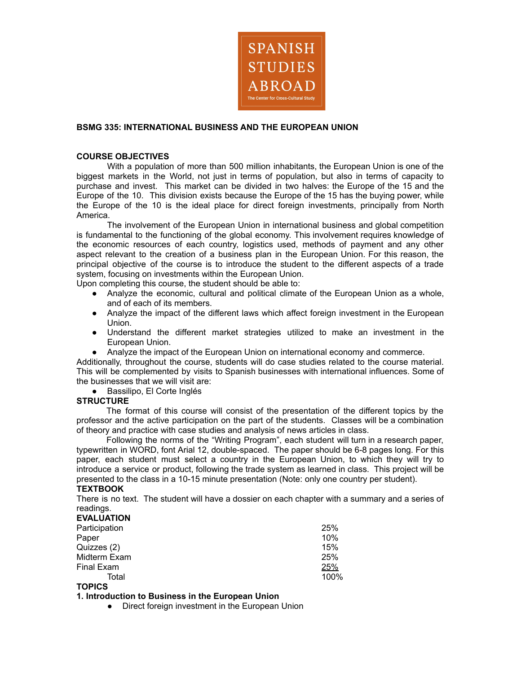

## **BSMG 335: INTERNATIONAL BUSINESS AND THE EUROPEAN UNION**

#### **COURSE OBJECTIVES**

With a population of more than 500 million inhabitants, the European Union is one of the biggest markets in the World, not just in terms of population, but also in terms of capacity to purchase and invest. This market can be divided in two halves: the Europe of the 15 and the Europe of the 10. This division exists because the Europe of the 15 has the buying power, while the Europe of the 10 is the ideal place for direct foreign investments, principally from North America.

The involvement of the European Union in international business and global competition is fundamental to the functioning of the global economy. This involvement requires knowledge of the economic resources of each country, logistics used, methods of payment and any other aspect relevant to the creation of a business plan in the European Union. For this reason, the principal objective of the course is to introduce the student to the different aspects of a trade system, focusing on investments within the European Union.

Upon completing this course, the student should be able to:

- Analyze the economic, cultural and political climate of the European Union as a whole, and of each of its members.
- Analyze the impact of the different laws which affect foreign investment in the European Union.
- Understand the different market strategies utilized to make an investment in the European Union.
- Analyze the impact of the European Union on international economy and commerce.

Additionally, throughout the course, students will do case studies related to the course material. This will be complemented by visits to Spanish businesses with international influences. Some of the businesses that we will visit are:

● Bassilipo, El Corte Inglés

#### **STRUCTURE**

The format of this course will consist of the presentation of the different topics by the professor and the active participation on the part of the students. Classes will be a combination of theory and practice with case studies and analysis of news articles in class.

Following the norms of the "Writing Program", each student will turn in a research paper, typewritten in WORD, font Arial 12, double-spaced. The paper should be 6-8 pages long. For this paper, each student must select a country in the European Union, to which they will try to introduce a service or product, following the trade system as learned in class. This project will be presented to the class in a 10-15 minute presentation (Note: only one country per student).

# **TEXTBOOK**

There is no text. The student will have a dossier on each chapter with a summary and a series of readings.

| <b>EVALUATION</b> |      |
|-------------------|------|
| Participation     | 25%  |
| Paper             | 10%  |
| Quizzes (2)       | 15%  |
| Midterm Exam      | 25%  |
| Final Exam        | 25%  |
| Total             | 100% |
| <b>TOPICS</b>     |      |

# **1. Introduction to Business in the European Union**

• Direct foreign investment in the European Union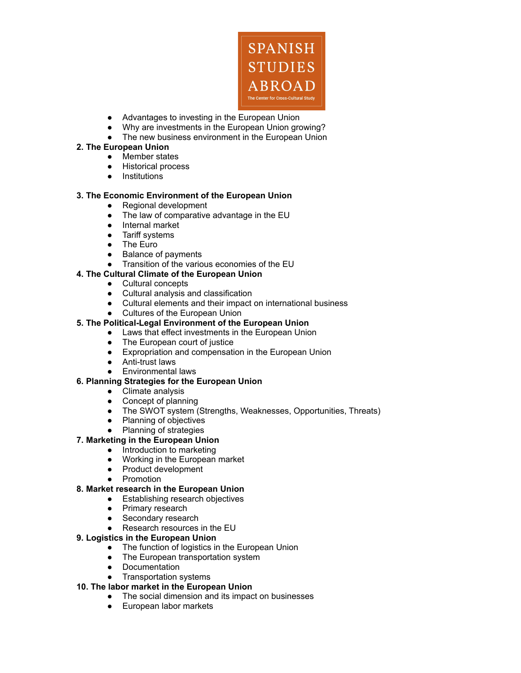

- Advantages to investing in the European Union
- Why are investments in the European Union growing?
- The new business environment in the European Union

## **2. The European Union**

- Member states
- Historical process
- Institutions

## **3. The Economic Environment of the European Union**

- Regional development
- The law of comparative advantage in the EU
- Internal market
- Tariff systems
- The Euro
- Balance of payments
- Transition of the various economies of the EU

# **4. The Cultural Climate of the European Union**

- Cultural concepts
- Cultural analysis and classification
- Cultural elements and their impact on international business
- Cultures of the European Union

## **5. The Political-Legal Environment of the European Union**

- Laws that effect investments in the European Union
- The European court of justice
- Expropriation and compensation in the European Union
- Anti-trust laws
- Environmental laws

#### **6. Planning Strategies for the European Union**

- Climate analysis
- Concept of planning
- The SWOT system (Strengths, Weaknesses, Opportunities, Threats)
- Planning of objectives
- Planning of strategies

# **7. Marketing in the European Union**

- Introduction to marketing
- Working in the European market
- Product development
- Promotion

#### **8. Market research in the European Union**

- Establishing research objectives
	- Primary research
- Secondary research
- Research resources in the EU

# **9. Logistics in the European Union**

- The function of logistics in the European Union
- The European transportation system
- Documentation
- Transportation systems

# **10. The labor market in the European Union**

- The social dimension and its impact on businesses
- European labor markets